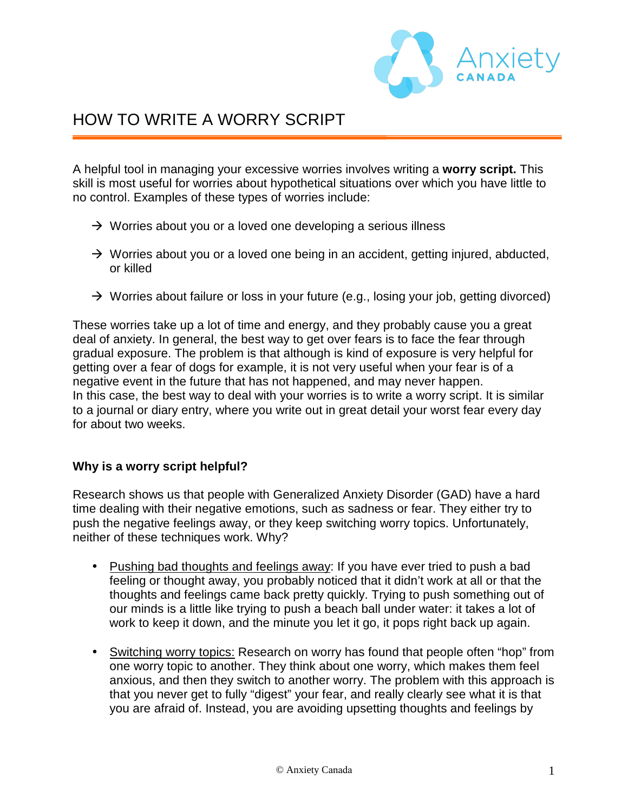

# HOW TO WRITE A WORRY SCRIPT

A helpful tool in managing your excessive worries involves writing a **worry script.** This skill is most useful for worries about hypothetical situations over which you have little to no control. Examples of these types of worries include:

- $\rightarrow$  Worries about you or a loved one developing a serious illness
- $\rightarrow$  Worries about you or a loved one being in an accident, getting injured, abducted, or killed
- $\rightarrow$  Worries about failure or loss in your future (e.g., losing your job, getting divorced)

These worries take up a lot of time and energy, and they probably cause you a great deal of anxiety. In general, the best way to get over fears is to face the fear through gradual exposure. The problem is that although is kind of exposure is very helpful for getting over a fear of dogs for example, it is not very useful when your fear is of a negative event in the future that has not happened, and may never happen. In this case, the best way to deal with your worries is to write a worry script. It is similar to a journal or diary entry, where you write out in great detail your worst fear every day for about two weeks.

#### **Why is a worry script helpful?**

Research shows us that people with Generalized Anxiety Disorder (GAD) have a hard time dealing with their negative emotions, such as sadness or fear. They either try to push the negative feelings away, or they keep switching worry topics. Unfortunately, neither of these techniques work. Why?

- Pushing bad thoughts and feelings away: If you have ever tried to push a bad feeling or thought away, you probably noticed that it didn't work at all or that the thoughts and feelings came back pretty quickly. Trying to push something out of our minds is a little like trying to push a beach ball under water: it takes a lot of work to keep it down, and the minute you let it go, it pops right back up again.
- Switching worry topics: Research on worry has found that people often "hop" from one worry topic to another. They think about one worry, which makes them feel anxious, and then they switch to another worry. The problem with this approach is that you never get to fully "digest" your fear, and really clearly see what it is that you are afraid of. Instead, you are avoiding upsetting thoughts and feelings by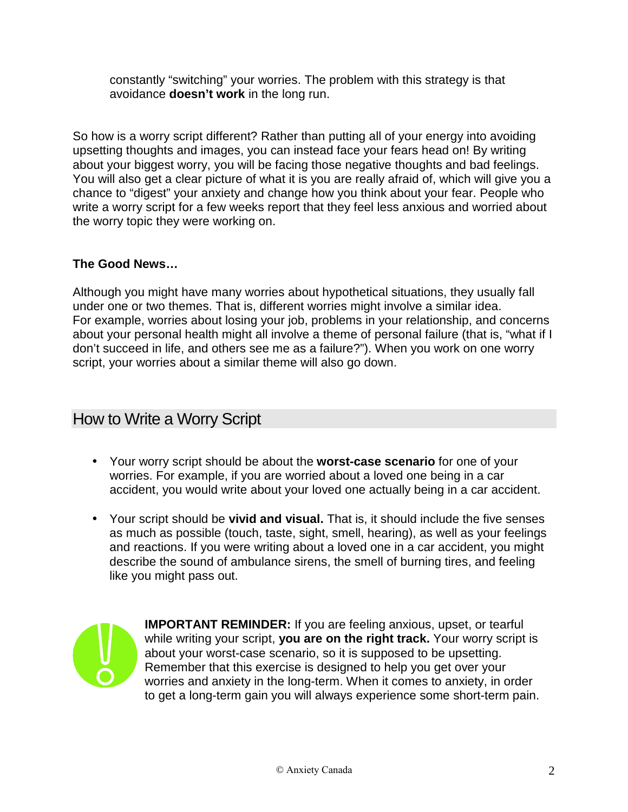constantly "switching" your worries. The problem with this strategy is that avoidance **doesn't work** in the long run.

So how is a worry script different? Rather than putting all of your energy into avoiding upsetting thoughts and images, you can instead face your fears head on! By writing about your biggest worry, you will be facing those negative thoughts and bad feelings. You will also get a clear picture of what it is you are really afraid of, which will give you a chance to "digest" your anxiety and change how you think about your fear. People who write a worry script for a few weeks report that they feel less anxious and worried about the worry topic they were working on.

#### **The Good News…**

Although you might have many worries about hypothetical situations, they usually fall under one or two themes. That is, different worries might involve a similar idea. For example, worries about losing your job, problems in your relationship, and concerns about your personal health might all involve a theme of personal failure (that is, "what if I don't succeed in life, and others see me as a failure?"). When you work on one worry script, your worries about a similar theme will also go down.

## How to Write a Worry Script

- Your worry script should be about the **worst-case scenario** for one of your worries. For example, if you are worried about a loved one being in a car accident, you would write about your loved one actually being in a car accident.
- Your script should be **vivid and visual.** That is, it should include the five senses as much as possible (touch, taste, sight, smell, hearing), as well as your feelings and reactions. If you were writing about a loved one in a car accident, you might describe the sound of ambulance sirens, the smell of burning tires, and feeling like you might pass out.



**IMPORTANT REMINDER:** If you are feeling anxious, upset, or tearful while writing your script, **you are on the right track.** Your worry script is about your worst-case scenario, so it is supposed to be upsetting. Remember that this exercise is designed to help you get over your worries and anxiety in the long-term. When it comes to anxiety, in order to get a long-term gain you will always experience some short-term pain.